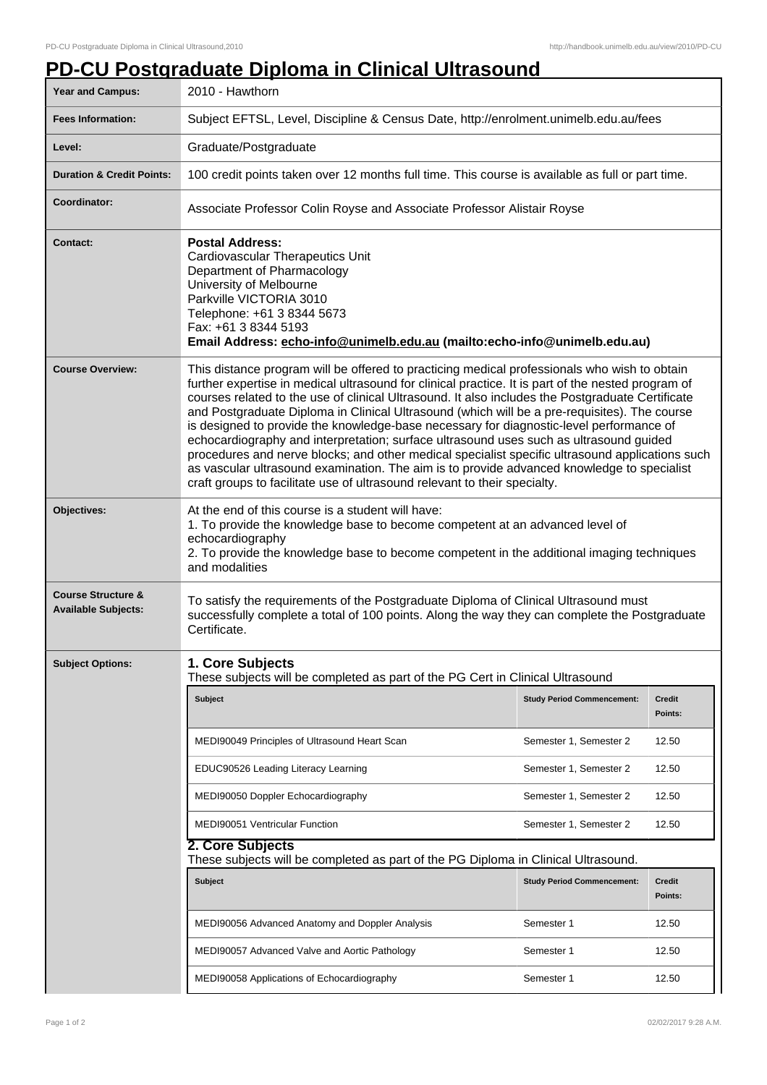## **PD-CU Postgraduate Diploma in Clinical Ultrasound**

| Year and Campus:                                            | 2010 - Hawthorn                                                                                                                                                                                                                                                                                                                                                                                                                                                                                                                                                                                                                                                                                                                                                                                                                                                           |                                   |                          |  |
|-------------------------------------------------------------|---------------------------------------------------------------------------------------------------------------------------------------------------------------------------------------------------------------------------------------------------------------------------------------------------------------------------------------------------------------------------------------------------------------------------------------------------------------------------------------------------------------------------------------------------------------------------------------------------------------------------------------------------------------------------------------------------------------------------------------------------------------------------------------------------------------------------------------------------------------------------|-----------------------------------|--------------------------|--|
| <b>Fees Information:</b>                                    | Subject EFTSL, Level, Discipline & Census Date, http://enrolment.unimelb.edu.au/fees                                                                                                                                                                                                                                                                                                                                                                                                                                                                                                                                                                                                                                                                                                                                                                                      |                                   |                          |  |
| Level:                                                      | Graduate/Postgraduate                                                                                                                                                                                                                                                                                                                                                                                                                                                                                                                                                                                                                                                                                                                                                                                                                                                     |                                   |                          |  |
| <b>Duration &amp; Credit Points:</b>                        | 100 credit points taken over 12 months full time. This course is available as full or part time.                                                                                                                                                                                                                                                                                                                                                                                                                                                                                                                                                                                                                                                                                                                                                                          |                                   |                          |  |
| Coordinator:                                                | Associate Professor Colin Royse and Associate Professor Alistair Royse                                                                                                                                                                                                                                                                                                                                                                                                                                                                                                                                                                                                                                                                                                                                                                                                    |                                   |                          |  |
| <b>Contact:</b>                                             | <b>Postal Address:</b><br><b>Cardiovascular Therapeutics Unit</b><br>Department of Pharmacology<br>University of Melbourne<br>Parkville VICTORIA 3010<br>Telephone: +61 3 8344 5673<br>Fax: +61 3 8344 5193<br>Email Address: echo-info@unimelb.edu.au (mailto:echo-info@unimelb.edu.au)                                                                                                                                                                                                                                                                                                                                                                                                                                                                                                                                                                                  |                                   |                          |  |
| <b>Course Overview:</b>                                     | This distance program will be offered to practicing medical professionals who wish to obtain<br>further expertise in medical ultrasound for clinical practice. It is part of the nested program of<br>courses related to the use of clinical Ultrasound. It also includes the Postgraduate Certificate<br>and Postgraduate Diploma in Clinical Ultrasound (which will be a pre-requisites). The course<br>is designed to provide the knowledge-base necessary for diagnostic-level performance of<br>echocardiography and interpretation; surface ultrasound uses such as ultrasound guided<br>procedures and nerve blocks; and other medical specialist specific ultrasound applications such<br>as vascular ultrasound examination. The aim is to provide advanced knowledge to specialist<br>craft groups to facilitate use of ultrasound relevant to their specialty. |                                   |                          |  |
| Objectives:                                                 | At the end of this course is a student will have:<br>1. To provide the knowledge base to become competent at an advanced level of<br>echocardiography<br>2. To provide the knowledge base to become competent in the additional imaging techniques<br>and modalities                                                                                                                                                                                                                                                                                                                                                                                                                                                                                                                                                                                                      |                                   |                          |  |
| <b>Course Structure &amp;</b><br><b>Available Subjects:</b> | To satisfy the requirements of the Postgraduate Diploma of Clinical Ultrasound must<br>successfully complete a total of 100 points. Along the way they can complete the Postgraduate<br>Certificate.                                                                                                                                                                                                                                                                                                                                                                                                                                                                                                                                                                                                                                                                      |                                   |                          |  |
| <b>Subject Options:</b>                                     | 1. Core Subjects<br>These subjects will be completed as part of the PG Cert in Clinical Ultrasound                                                                                                                                                                                                                                                                                                                                                                                                                                                                                                                                                                                                                                                                                                                                                                        |                                   |                          |  |
|                                                             | Subject                                                                                                                                                                                                                                                                                                                                                                                                                                                                                                                                                                                                                                                                                                                                                                                                                                                                   | <b>Study Period Commencement:</b> | <b>Credit</b><br>Points: |  |
|                                                             | MEDI90049 Principles of Ultrasound Heart Scan                                                                                                                                                                                                                                                                                                                                                                                                                                                                                                                                                                                                                                                                                                                                                                                                                             | Semester 1, Semester 2            | 12.50                    |  |
|                                                             | EDUC90526 Leading Literacy Learning                                                                                                                                                                                                                                                                                                                                                                                                                                                                                                                                                                                                                                                                                                                                                                                                                                       | Semester 1, Semester 2            | 12.50                    |  |
|                                                             | MEDI90050 Doppler Echocardiography                                                                                                                                                                                                                                                                                                                                                                                                                                                                                                                                                                                                                                                                                                                                                                                                                                        | Semester 1, Semester 2            | 12.50                    |  |
|                                                             | <b>MEDI90051 Ventricular Function</b>                                                                                                                                                                                                                                                                                                                                                                                                                                                                                                                                                                                                                                                                                                                                                                                                                                     | Semester 1, Semester 2            | 12.50                    |  |
|                                                             | 2. Core Subjects<br>These subjects will be completed as part of the PG Diploma in Clinical Ultrasound.                                                                                                                                                                                                                                                                                                                                                                                                                                                                                                                                                                                                                                                                                                                                                                    |                                   |                          |  |
|                                                             | <b>Subject</b>                                                                                                                                                                                                                                                                                                                                                                                                                                                                                                                                                                                                                                                                                                                                                                                                                                                            | <b>Study Period Commencement:</b> | Credit<br>Points:        |  |
|                                                             | MEDI90056 Advanced Anatomy and Doppler Analysis                                                                                                                                                                                                                                                                                                                                                                                                                                                                                                                                                                                                                                                                                                                                                                                                                           | Semester 1                        | 12.50                    |  |
|                                                             | MEDI90057 Advanced Valve and Aortic Pathology                                                                                                                                                                                                                                                                                                                                                                                                                                                                                                                                                                                                                                                                                                                                                                                                                             | Semester 1                        | 12.50                    |  |
|                                                             | MEDI90058 Applications of Echocardiography                                                                                                                                                                                                                                                                                                                                                                                                                                                                                                                                                                                                                                                                                                                                                                                                                                | Semester 1                        | 12.50                    |  |